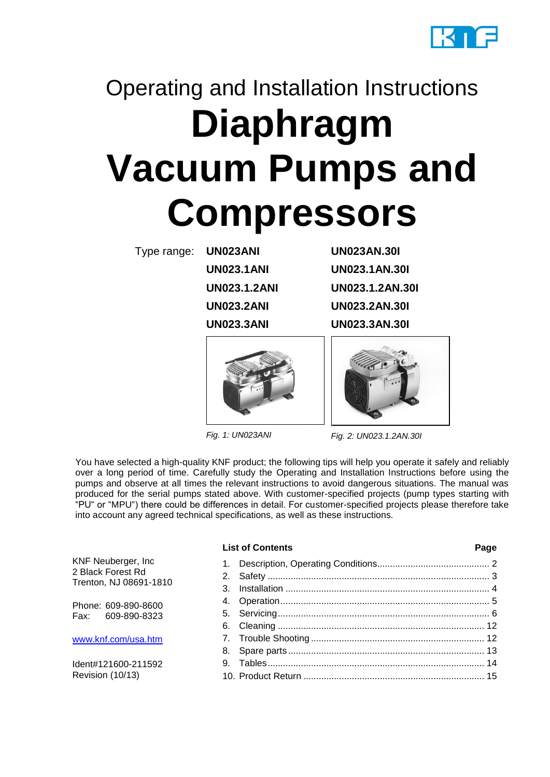

# Operating and Installation Instructions **Diaphragm Vacuum Pumps and Compressors**

Type range: **UN023ANI UN023AN.30I**

**UN023.3ANI**

**UN023.1ANI UN023.1AN.30I UN023.1.2ANI UN023.1.2AN.30I UN023.2ANI UN023.2AN.30I UN023.3AN.30I**



*Fig. 1: UN023ANI*



*Fig. 2: UN023.1.2AN.30I*

You have selected a high-quality KNF product; the following tips will help you operate it safely and reliably over a long period of time. Carefully study the Operating and Installation Instructions before using the pumps and observe at all times the relevant instructions to avoid dangerous situations. The manual was produced for the serial pumps stated above. With customer-specified projects (pump types starting with "PU" or "MPU") there could be differences in detail. For customer-specified projects please therefore take into account any agreed technical specifications, as well as these instructions.

|                                                                   | <b>List of Contents</b> | Page |
|-------------------------------------------------------------------|-------------------------|------|
| KNF Neuberger, Inc<br>2 Black Forest Rd<br>Trenton, NJ 08691-1810 | $1_{\cdot}$<br>2.<br>3. |      |
| Phone: 609-890-8600<br>Fax: 609-890-8323                          |                         |      |
| www.knf.com/usa.htm                                               |                         |      |
| Ident#121600-211592<br>Revision (10/13)                           |                         |      |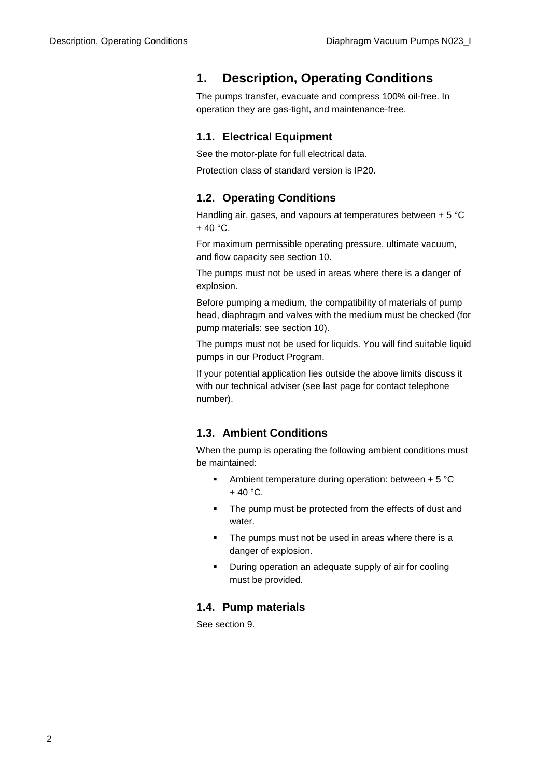### <span id="page-1-0"></span>**1. Description, Operating Conditions**

The pumps transfer, evacuate and compress 100% oil-free. In operation they are gas-tight, and maintenance-free.

### **1.1. Electrical Equipment**

See the motor-plate for full electrical data.

Protection class of standard version is IP20.

### **1.2. Operating Conditions**

Handling air, gases, and vapours at temperatures between + 5 °C  $+ 40 °C$ .

For maximum permissible operating pressure, ultimate vacuum, and flow capacity see section 10.

The pumps must not be used in areas where there is a danger of explosion.

Before pumping a medium, the compatibility of materials of pump head, diaphragm and valves with the medium must be checked (for pump materials: see section 10).

The pumps must not be used for liquids. You will find suitable liquid pumps in our Product Program.

If your potential application lies outside the above limits discuss it with our technical adviser (see last page for contact telephone number).

### **1.3. Ambient Conditions**

When the pump is operating the following ambient conditions must be maintained:

- Ambient temperature during operation: between  $+ 5 °C$  $+ 40 °C$ .
- The pump must be protected from the effects of dust and water.
- The pumps must not be used in areas where there is a danger of explosion.
- During operation an adequate supply of air for cooling must be provided.

### **1.4. Pump materials**

See section 9.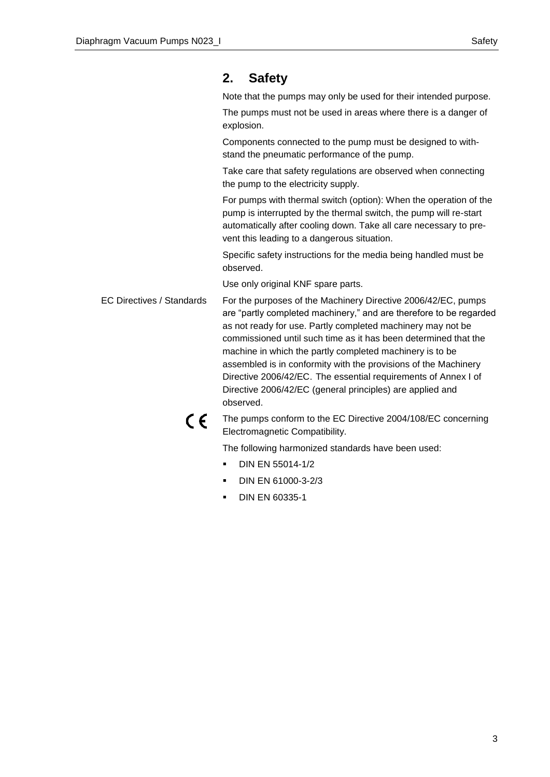### <span id="page-2-0"></span>**2. Safety**

Note that the pumps may only be used for their intended purpose.

The pumps must not be used in areas where there is a danger of explosion.

Components connected to the pump must be designed to withstand the pneumatic performance of the pump.

Take care that safety regulations are observed when connecting the pump to the electricity supply.

For pumps with thermal switch (option): When the operation of the pump is interrupted by the thermal switch, the pump will re-start automatically after cooling down. Take all care necessary to prevent this leading to a dangerous situation.

Specific safety instructions for the media being handled must be observed.

Use only original KNF spare parts.

For the purposes of the Machinery Directive 2006/42/EC, pumps are "partly completed machinery," and are therefore to be regarded as not ready for use. Partly completed machinery may not be commissioned until such time as it has been determined that the machine in which the partly completed machinery is to be assembled is in conformity with the provisions of the Machinery Directive 2006/42/EC. The essential requirements of Annex I of Directive 2006/42/EC (general principles) are applied and observed. EC Directives / Standards



The pumps conform to the EC Directive 2004/108/EC concerning Electromagnetic Compatibility.

The following harmonized standards have been used:

- DIN EN 55014-1/2
- **DIN EN 61000-3-2/3**
- DIN EN 60335-1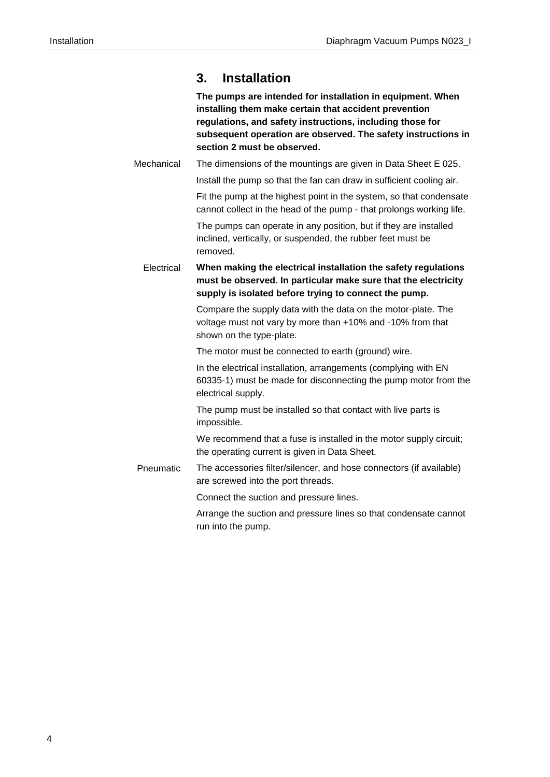### <span id="page-3-0"></span>**3. Installation**

|            | The pumps are intended for installation in equipment. When<br>installing them make certain that accident prevention<br>regulations, and safety instructions, including those for<br>subsequent operation are observed. The safety instructions in<br>section 2 must be observed. |
|------------|----------------------------------------------------------------------------------------------------------------------------------------------------------------------------------------------------------------------------------------------------------------------------------|
| Mechanical | The dimensions of the mountings are given in Data Sheet E 025.                                                                                                                                                                                                                   |
|            | Install the pump so that the fan can draw in sufficient cooling air.                                                                                                                                                                                                             |
|            | Fit the pump at the highest point in the system, so that condensate<br>cannot collect in the head of the pump - that prolongs working life.                                                                                                                                      |
|            | The pumps can operate in any position, but if they are installed<br>inclined, vertically, or suspended, the rubber feet must be<br>removed.                                                                                                                                      |
| Electrical | When making the electrical installation the safety regulations<br>must be observed. In particular make sure that the electricity<br>supply is isolated before trying to connect the pump.                                                                                        |
|            | Compare the supply data with the data on the motor-plate. The<br>voltage must not vary by more than +10% and -10% from that<br>shown on the type-plate.                                                                                                                          |
|            | The motor must be connected to earth (ground) wire.                                                                                                                                                                                                                              |
|            | In the electrical installation, arrangements (complying with EN<br>60335-1) must be made for disconnecting the pump motor from the<br>electrical supply.                                                                                                                         |
|            | The pump must be installed so that contact with live parts is<br>impossible.                                                                                                                                                                                                     |
|            | We recommend that a fuse is installed in the motor supply circuit;<br>the operating current is given in Data Sheet.                                                                                                                                                              |
| Pneumatic  | The accessories filter/silencer, and hose connectors (if available)<br>are screwed into the port threads.                                                                                                                                                                        |
|            | Connect the suction and pressure lines.                                                                                                                                                                                                                                          |
|            | Arrange the suction and pressure lines so that condensate cannot<br>run into the pump.                                                                                                                                                                                           |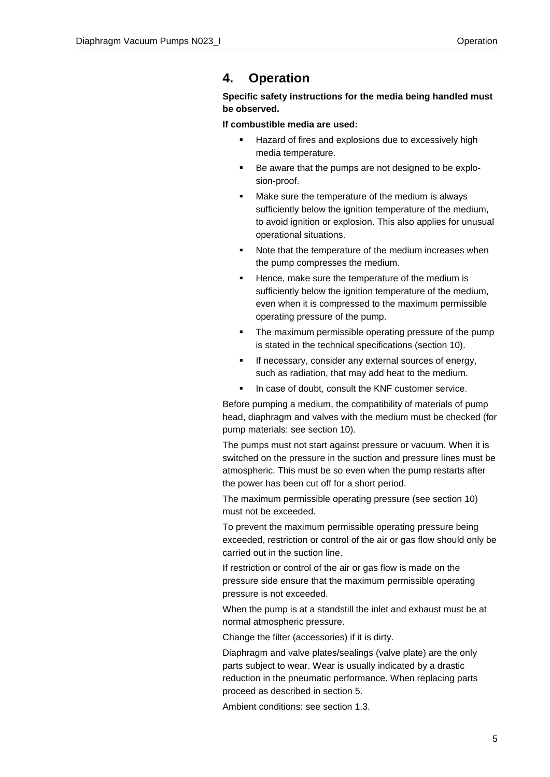### <span id="page-4-0"></span>**4. Operation**

### **Specific safety instructions for the media being handled must be observed.**

**If combustible media are used:**

- Hazard of fires and explosions due to excessively high media temperature.
- Be aware that the pumps are not designed to be explosion-proof.
- Make sure the temperature of the medium is always sufficiently below the ignition temperature of the medium, to avoid ignition or explosion. This also applies for unusual operational situations.
- Note that the temperature of the medium increases when the pump compresses the medium.
- Hence, make sure the temperature of the medium is sufficiently below the ignition temperature of the medium, even when it is compressed to the maximum permissible operating pressure of the pump.
- The maximum permissible operating pressure of the pump is stated in the technical specifications (section 10).
- If necessary, consider any external sources of energy, such as radiation, that may add heat to the medium.
- In case of doubt, consult the KNF customer service.

Before pumping a medium, the compatibility of materials of pump head, diaphragm and valves with the medium must be checked (for pump materials: see section 10).

The pumps must not start against pressure or vacuum. When it is switched on the pressure in the suction and pressure lines must be atmospheric. This must be so even when the pump restarts after the power has been cut off for a short period.

The maximum permissible operating pressure (see section 10) must not be exceeded.

To prevent the maximum permissible operating pressure being exceeded, restriction or control of the air or gas flow should only be carried out in the suction line.

If restriction or control of the air or gas flow is made on the pressure side ensure that the maximum permissible operating pressure is not exceeded.

When the pump is at a standstill the inlet and exhaust must be at normal atmospheric pressure.

Change the filter (accessories) if it is dirty.

Diaphragm and valve plates/sealings (valve plate) are the only parts subject to wear. Wear is usually indicated by a drastic reduction in the pneumatic performance. When replacing parts proceed as described in section 5.

Ambient conditions: see section 1.3.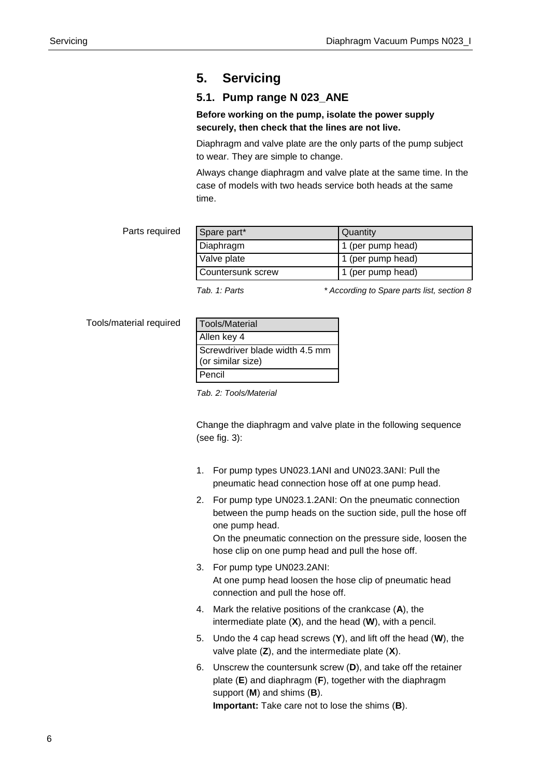### <span id="page-5-0"></span>**5. Servicing**

### **5.1. Pump range N 023\_ANE**

### **Before working on the pump, isolate the power supply securely, then check that the lines are not live.**

Diaphragm and valve plate are the only parts of the pump subject to wear. They are simple to change.

Always change diaphragm and valve plate at the same time. In the case of models with two heads service both heads at the same time.

#### Parts required

| Spare part*       | Quantity          |
|-------------------|-------------------|
| Diaphragm         | 1 (per pump head) |
| Valve plate       | 1 (per pump head) |
| Countersunk screw | 1 (per pump head) |

*Tab. 1: Parts \* According to Spare parts list, section 8*

Tools/material required

| <b>Tools/Material</b>                               |
|-----------------------------------------------------|
| Allen key 4                                         |
| Screwdriver blade width 4.5 mm<br>(or similar size) |
| Pencil                                              |

*Tab. 2: Tools/Material*

Change the diaphragm and valve plate in the following sequence (see fig. 3):

- 1. For pump types UN023.1ANI and UN023.3ANI: Pull the pneumatic head connection hose off at one pump head.
- 2. For pump type UN023.1.2ANI: On the pneumatic connection between the pump heads on the suction side, pull the hose off one pump head. On the pneumatic connection on the pressure side, loosen the hose clip on one pump head and pull the hose off.
- 3. For pump type UN023.2ANI: At one pump head loosen the hose clip of pneumatic head connection and pull the hose off.
- 4. Mark the relative positions of the crankcase (**A**), the intermediate plate (**X**), and the head (**W**), with a pencil.
- 5. Undo the 4 cap head screws (**Y**), and lift off the head (**W**), the valve plate (**Z**), and the intermediate plate (**X**).
- 6. Unscrew the countersunk screw (**D**), and take off the retainer plate (**E**) and diaphragm (**F**), together with the diaphragm support (**M**) and shims (**B**). **Important:** Take care not to lose the shims (**B**).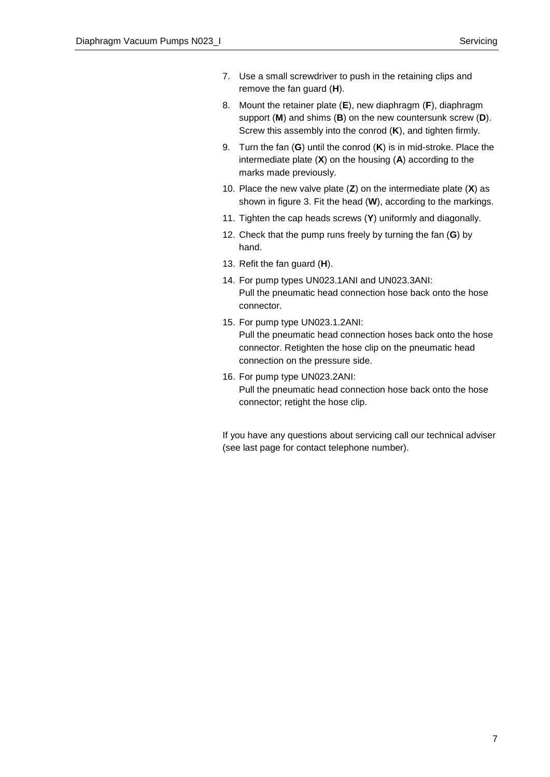- 7. Use a small screwdriver to push in the retaining clips and remove the fan guard (**H**).
- 8. Mount the retainer plate (**E**), new diaphragm (**F**), diaphragm support (**M**) and shims (**B**) on the new countersunk screw (**D**). Screw this assembly into the conrod (**K**), and tighten firmly.
- 9. Turn the fan (**G**) until the conrod (**K**) is in mid-stroke. Place the intermediate plate (**X**) on the housing (**A**) according to the marks made previously.
- 10. Place the new valve plate (**Z**) on the intermediate plate (**X**) as shown in figure 3. Fit the head (**W**), according to the markings.
- 11. Tighten the cap heads screws (**Y**) uniformly and diagonally.
- 12. Check that the pump runs freely by turning the fan (**G**) by hand.
- 13. Refit the fan guard (**H**).
- 14. For pump types UN023.1ANI and UN023.3ANI: Pull the pneumatic head connection hose back onto the hose connector.
- 15. For pump type UN023.1.2ANI: Pull the pneumatic head connection hoses back onto the hose connector. Retighten the hose clip on the pneumatic head connection on the pressure side.
- 16. For pump type UN023.2ANI: Pull the pneumatic head connection hose back onto the hose connector; retight the hose clip.

If you have any questions about servicing call our technical adviser (see last page for contact telephone number).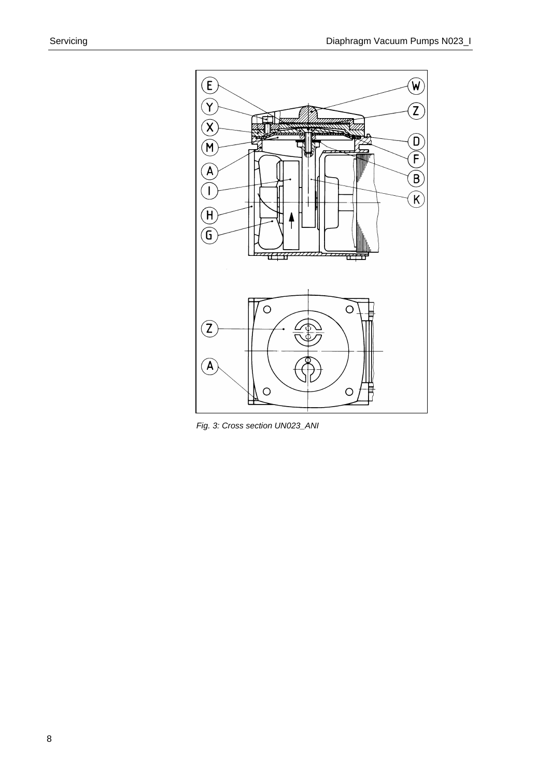

*Fig. 3: Cross section UN023\_ANI*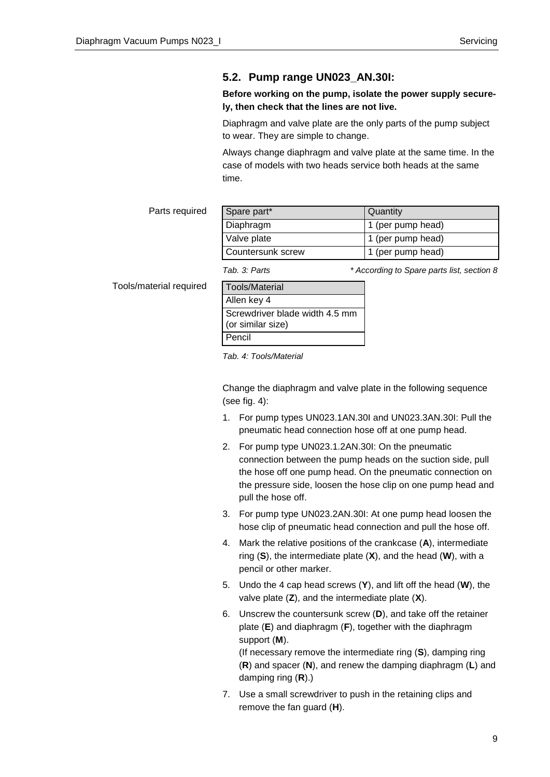### **5.2. Pump range UN023\_AN.30I:**

### **Before working on the pump, isolate the power supply securely, then check that the lines are not live.**

Diaphragm and valve plate are the only parts of the pump subject to wear. They are simple to change.

Always change diaphragm and valve plate at the same time. In the case of models with two heads service both heads at the same time.

Parts required

| Spare part*       | Quantity          |
|-------------------|-------------------|
| Diaphragm         | 1 (per pump head) |
| Valve plate       | 1 (per pump head) |
| Countersunk screw | 1 (per pump head) |

Tools/material required

*Tab. 3: Parts \* According to Spare parts list, section 8*

| Tools/Material                                      |
|-----------------------------------------------------|
| Allen key 4                                         |
| Screwdriver blade width 4.5 mm<br>(or similar size) |
| Pencil                                              |

*Tab. 4: Tools/Material*

Change the diaphragm and valve plate in the following sequence (see fig. 4):

- 1. For pump types UN023.1AN.30I and UN023.3AN.30I: Pull the pneumatic head connection hose off at one pump head.
- 2. For pump type UN023.1.2AN.30I: On the pneumatic connection between the pump heads on the suction side, pull the hose off one pump head. On the pneumatic connection on the pressure side, loosen the hose clip on one pump head and pull the hose off.
- 3. For pump type UN023.2AN.30I: At one pump head loosen the hose clip of pneumatic head connection and pull the hose off.
- 4. Mark the relative positions of the crankcase (**A**), intermediate ring (**S**), the intermediate plate (**X**), and the head (**W**), with a pencil or other marker.
- 5. Undo the 4 cap head screws (**Y**), and lift off the head (**W**), the valve plate (**Z**), and the intermediate plate (**X**).
- 6. Unscrew the countersunk screw (**D**), and take off the retainer plate (**E**) and diaphragm (**F**), together with the diaphragm support (**M**). (If necessary remove the intermediate ring (**S**), damping ring (**R**) and spacer (**N**), and renew the damping diaphragm (**L**) and damping ring (**R**).)
- 7. Use a small screwdriver to push in the retaining clips and remove the fan guard (**H**).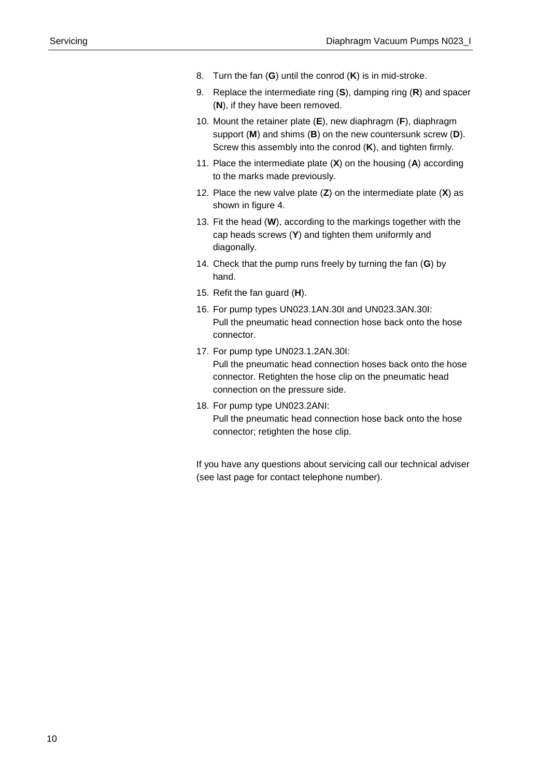- 8. Turn the fan (**G**) until the conrod (**K**) is in mid-stroke.
- 9. Replace the intermediate ring (**S**), damping ring (**R**) and spacer (**N**), if they have been removed.
- 10. Mount the retainer plate (**E**), new diaphragm (**F**), diaphragm support (**M**) and shims (**B**) on the new countersunk screw (**D**). Screw this assembly into the conrod (**K**), and tighten firmly.
- 11. Place the intermediate plate (**X**) on the housing (**A**) according to the marks made previously.
- 12. Place the new valve plate (**Z**) on the intermediate plate (**X**) as shown in figure 4.
- 13. Fit the head (**W**), according to the markings together with the cap heads screws (**Y**) and tighten them uniformly and diagonally.
- 14. Check that the pump runs freely by turning the fan (**G**) by hand.
- 15. Refit the fan guard (**H**).
- 16. For pump types UN023.1AN.30I and UN023.3AN.30I: Pull the pneumatic head connection hose back onto the hose connector.
- 17. For pump type UN023.1.2AN.30I: Pull the pneumatic head connection hoses back onto the hose connector. Retighten the hose clip on the pneumatic head connection on the pressure side.
- 18. For pump type UN023.2ANI: Pull the pneumatic head connection hose back onto the hose connector; retighten the hose clip.

If you have any questions about servicing call our technical adviser (see last page for contact telephone number).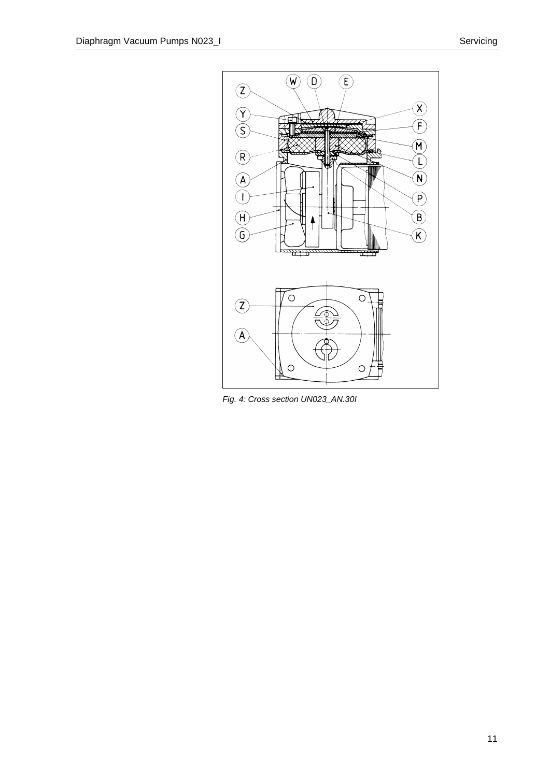

*Fig. 4: Cross section UN023\_AN.30I*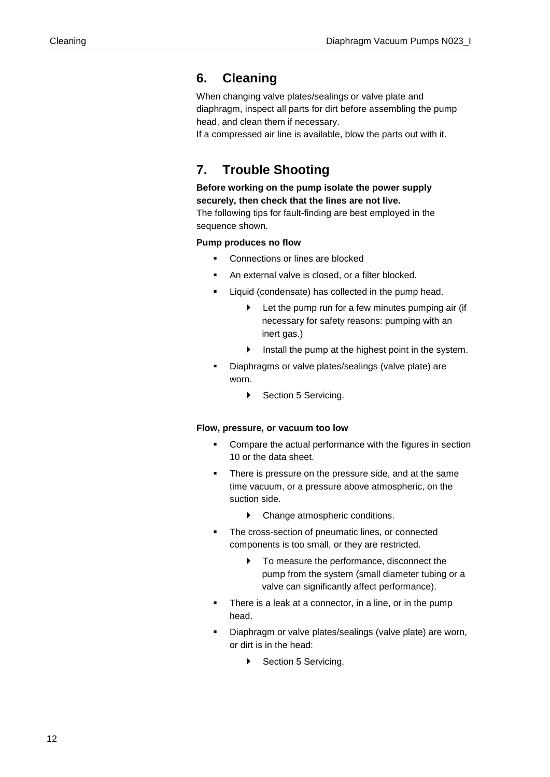### <span id="page-11-0"></span>**6. Cleaning**

When changing valve plates/sealings or valve plate and diaphragm, inspect all parts for dirt before assembling the pump head, and clean them if necessary.

If a compressed air line is available, blow the parts out with it.

### <span id="page-11-1"></span>**7. Trouble Shooting**

**Before working on the pump isolate the power supply securely, then check that the lines are not live.**

The following tips for fault-finding are best employed in the sequence shown.

### **Pump produces no flow**

- Connections or lines are blocked
- An external valve is closed, or a filter blocked.
- Liquid (condensate) has collected in the pump head.
	- Let the pump run for a few minutes pumping air (if necessary for safety reasons: pumping with an inert gas.)
	- Install the pump at the highest point in the system.
- Diaphragms or valve plates/sealings (valve plate) are worn.
	- ▶ Section 5 Servicing.

#### **Flow, pressure, or vacuum too low**

- **•** Compare the actual performance with the figures in section 10 or the data sheet.
- There is pressure on the pressure side, and at the same time vacuum, or a pressure above atmospheric, on the suction side.
	- Change atmospheric conditions.
- The cross-section of pneumatic lines, or connected components is too small, or they are restricted.
	- $\blacktriangleright$  To measure the performance, disconnect the pump from the system (small diameter tubing or a valve can significantly affect performance).
- There is a leak at a connector, in a line, or in the pump head.
- Diaphragm or valve plates/sealings (valve plate) are worn, or dirt is in the head:
	- ▶ Section 5 Servicing.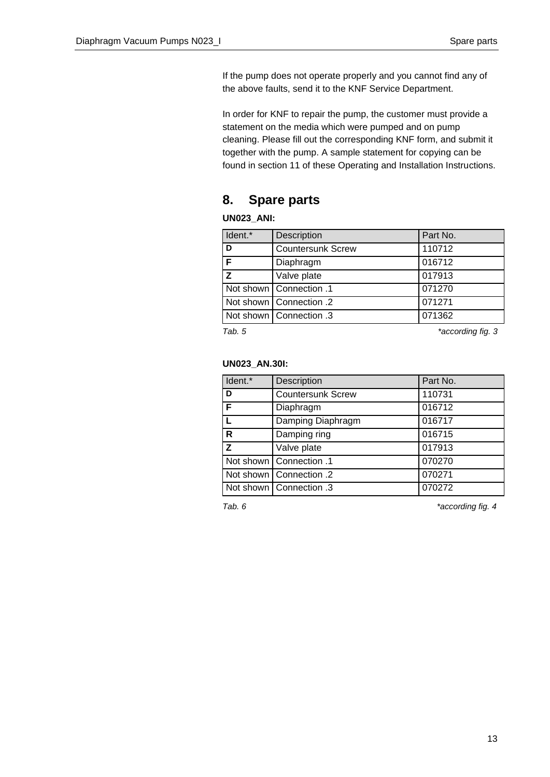If the pump does not operate properly and you cannot find any of the above faults, send it to the KNF Service Department.

In order for KNF to repair the pump, the customer must provide a statement on the media which were pumped and on pump cleaning. Please fill out the corresponding KNF form, and submit it together with the pump. A sample statement for copying can be found in section 11 of these Operating and Installation Instructions.

### **8. Spare parts**

### **UN023\_ANI:**

| ldent.* | Description               | Part No.          |
|---------|---------------------------|-------------------|
| D       | <b>Countersunk Screw</b>  | 110712            |
| F       | Diaphragm                 | 016712            |
| Z       | Valve plate               | 017913            |
|         | 1. Not shown   Connection | 071270            |
|         | Not shown   Connection .2 | 071271            |
|         | 1. Not shown   Connection | 071362            |
| Tab. 5  |                           | *according fig. 3 |

### **UN023\_AN.30I:**

| Ident.* | Description               | Part No. |
|---------|---------------------------|----------|
| D       | <b>Countersunk Screw</b>  | 110731   |
| F       | Diaphragm                 | 016712   |
|         | Damping Diaphragm         | 016717   |
| R       | Damping ring              | 016715   |
| Z       | Valve plate               | 017913   |
|         | 1. Not shown   Connection | 070270   |
|         | Not shown   Connection .2 | 070271   |
|         | Not shown   Connection .3 | 070272   |

Tab. 6 **\*** *Tab. 6* \* *According fig. 4*  $*$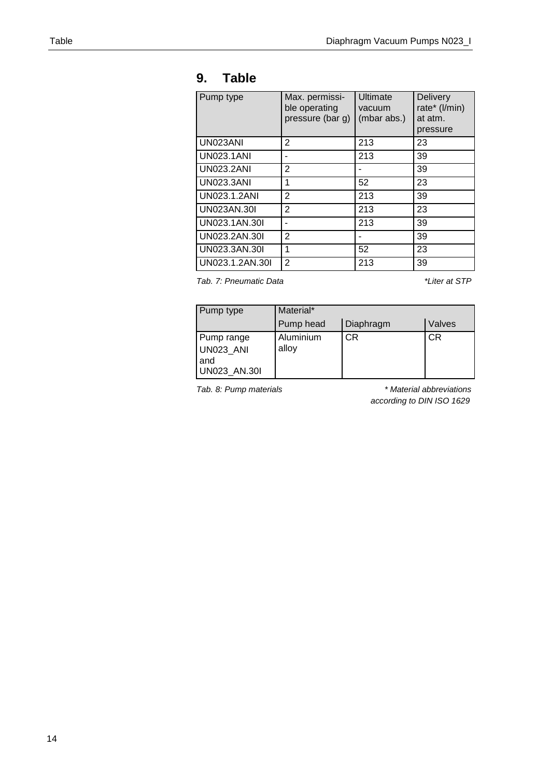### **9. Table**

| Pump type         | Max. permissi-<br>ble operating<br>pressure (bar g) | Ultimate<br>vacuum<br>(mbar abs.) | <b>Delivery</b><br>rate* (I/min)<br>at atm.<br>pressure |
|-------------------|-----------------------------------------------------|-----------------------------------|---------------------------------------------------------|
| UN023ANI          | 2                                                   | 213                               | 23                                                      |
| <b>UN023.1ANI</b> | -                                                   | 213                               | 39                                                      |
| <b>UN023.2ANI</b> | $\overline{2}$                                      |                                   | 39                                                      |
| <b>UN023.3ANI</b> | 1                                                   | 52                                | 23                                                      |
| UN023.1.2ANI      | $\mathbf{2}$                                        | 213                               | 39                                                      |
| UN023AN.30I       | $\overline{2}$                                      | 213                               | 23                                                      |
| UN023.1AN.30I     | ۰                                                   | 213                               | 39                                                      |
| UN023.2AN.30I     | $\overline{2}$                                      |                                   | 39                                                      |
| UN023.3AN.30I     | 1                                                   | 52                                | 23                                                      |
| UN023.1.2AN.30I   | $\overline{2}$                                      | 213                               | 39                                                      |

*Tab. 7: Pneumatic Data \*Liter at STP*

| Pump type                                             | Material*          |           |           |
|-------------------------------------------------------|--------------------|-----------|-----------|
|                                                       | Pump head          | Diaphragm | Valves    |
| Pump range<br>UN023 ANI<br>and<br><b>UN023 AN.30I</b> | Aluminium<br>alloy | CR.       | <b>CR</b> |

*Tab. 8: Pump materials \* Material abbreviations according to DIN ISO 1629*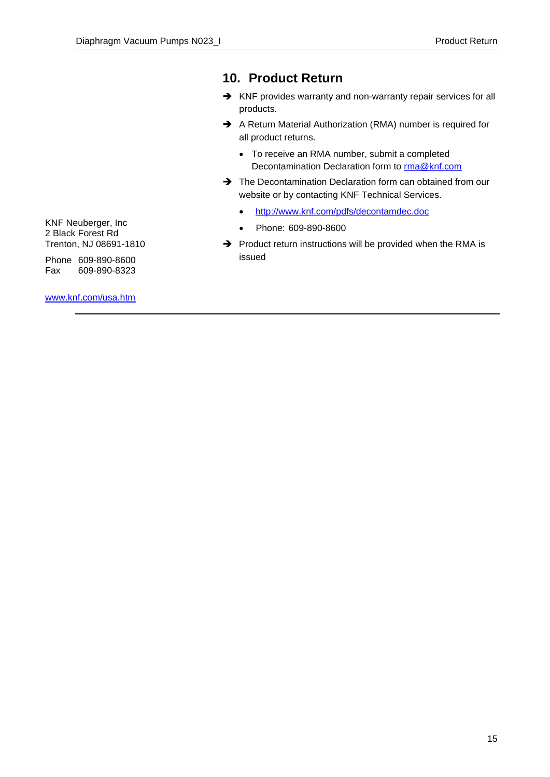### **10. Product Return**

- → KNF provides warranty and non-warranty repair services for all products.
- A Return Material Authorization (RMA) number is required for all product returns.
	- To receive an RMA number, submit a completed Decontamination Declaration form to [rma@knf.com](mailto:rma@knf.com)
- $\rightarrow$  The Decontamination Declaration form can obtained from our website or by contacting KNF Technical Services.
	- <http://www.knf.com/pdfs/decontamdec.doc>
	- Phone: 609-890-8600
- $\rightarrow$  Product return instructions will be provided when the RMA is issued

KNF Neuberger, Inc 2 Black Forest Rd Trenton, NJ 08691-1810

Phone 609-890-8600 Fax 609-890-8323

[www.knf.com/usa.htm](http://www.knf.com/usa.htm)